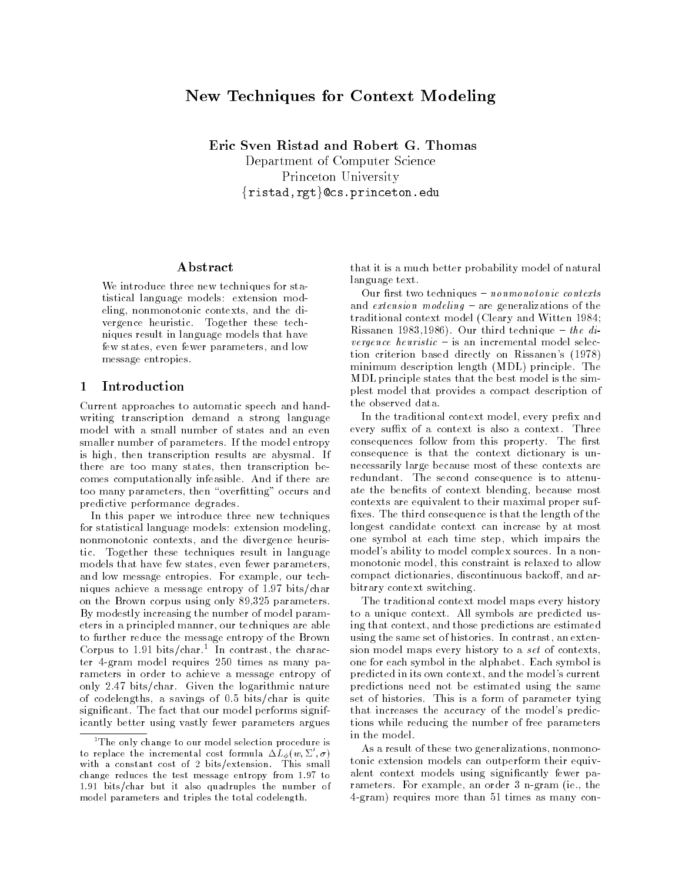# New Techniques for Context Modeling

Eric Sven Ristad and Robert G. Thomas Department of Computer Science Princeton University {ristad,rgt}@cs.princeton.edu

## Abstract

We introduce three new techniques for statistical language models: extension modeling, nonmonotonic contexts, and the divergence heuristic. Together these techniques result in language models that have few states, even fewer parameters, and low message entropies.

### Introduction  $\mathbf{1}$

Current approaches to automatic speech and handwriting transcription demand a strong language model with a small number of states and an even smaller number of parameters. If the model entropy is high, then transcription results are abysmal. If there are too many states, then transcription becomes computationally infeasible. And if there are too many parameters, then "overfitting" occurs and predictive performance degrades.

In this paper we introduce three new techniques for statistical language models: extension modeling, nonmonotonic contexts, and the divergence heuristic. Together these techniques result in language models that have few states, even fewer parameters, and low message entropies. For example, our techniques achieve a message entropy of 1.97 bits/char on the Brown corpus using only 89,325 parameters. By modestly increasing the number of model parameters in a principled manner, our techniques are able to further reduce the message entropy of the Brown Corpus to 1.91 bits/char.<sup>1</sup> In contrast, the character 4-gram model requires 250 times as many parameters in order to achieve a message entropy of only 2.47 bits/char. Given the logarithmic nature of codelengths, a savings of  $0.5$  bits/char is quite significant. The fact that our model performs significantly better using vastly fewer parameters argues that it is a much better probability model of natural language text.

Our first two techniques  $-$  nonmonotonic contexts and *extension modeling* – are generalizations of the traditional context model (Cleary and Witten 1984; Rissanen 1983,1986). Our third technique - the divergence heuristic  $-$  is an incremental model selection criterion based directly on Rissanen's (1978) minimum description length (MDL) principle. The MDL principle states that the best model is the simplest model that provides a compact description of the observed data.

In the traditional context model, every prefix and every suffix of a context is also a context. Three consequences follow from this property. The first consequence is that the context dictionary is unnecessarily large because most of these contexts are redundant. The second consequence is to attenuate the benefits of context blending, because most contexts are equivalent to their maximal proper suffixes. The third consequence is that the length of the longest candidate context can increase by at most one symbol at each time step, which impairs the model's ability to model complex sources. In a nonmonotonic model, this constraint is relaxed to allow compact dictionaries, discontinuous backoff, and arbitrary context switching.

The traditional context model maps every history to a unique context. All symbols are predicted using that context, and those predictions are estimated using the same set of histories. In contrast, an extension model maps every history to a set of contexts, one for each symbol in the alphabet. Each symbol is predicted in its own context, and the model's current predictions need not be estimated using the same set of histories. This is a form of parameter tying that increases the accuracy of the model's predictions while reducing the number of free parameters in the model.

As a result of these two generalizations, nonmonotonic extension models can outperform their equivalent context models using significantly fewer parameters. For example, an order 3 n-gram (ie., the 4-gram) requires more than 51 times as many con-

<sup>&</sup>lt;sup>1</sup>The only change to our model selection procedure is to replace the incremental cost formula  $\Delta L_{\phi}(w, \Sigma', \sigma)$ with a constant cost of 2 bits/extension. This small change reduces the test message entropy from 1.97 to 1.91 bits/char but it also quadruples the number of model parameters and triples the total codelength.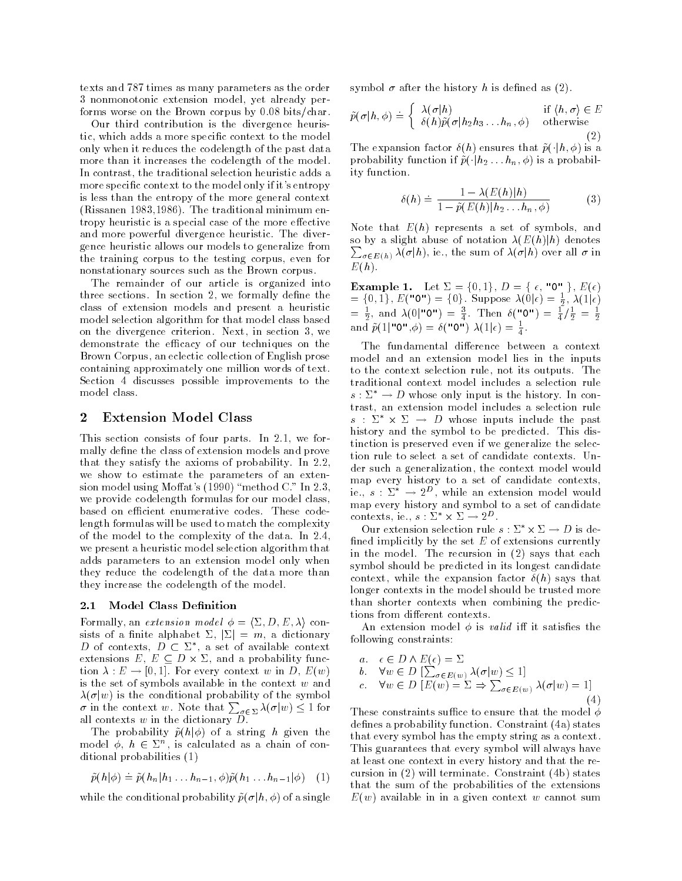texts and 787 times as many parameters as the order 3 nonmonotonic extension model, vet already performs worse on the Brown corpus by  $0.08$  bits/char.

Our third contribution is the divergence heuristic, which adds a more specific context to the model only when it reduces the codelength of the past data more than it increases the codelength of the model. In contrast, the traditional selection heuristic adds a more specific context to the model only if it's entropy is less than the entropy of the more general context (Rissanen 1983, 1986). The traditional minimum entropy heuristic is a special case of the more effective and more powerful divergence heuristic. The divergence heuristic allows our models to generalize from the training corpus to the testing corpus, even for nonstationary sources such as the Brown corpus.

The remainder of our article is organized into three sections. In section 2, we formally define the class of extension models and present a heuristic model selection algorithm for that model class based on the divergence criterion. Next, in section 3, we demonstrate the efficacy of our techniques on the Brown Corpus, an eclectic collection of English prose containing approximately one million words of text. Section 4 discusses possible improvements to the model class.

### **Extension Model Class**  $\bf{2}$

This section consists of four parts. In 2.1, we formally define the class of extension models and prove that they satisfy the axioms of probability. In 2.2, we show to estimate the parameters of an extension model using Moffat's (1990) "method C." In 2.3, we provide codelength formulas for our model class, based on efficient enumerative codes. These codelength formulas will be used to match the complexity of the model to the complexity of the data. In 2.4, we present a heuristic model selection algorithm that adds parameters to an extension model only when they reduce the codelength of the data more than they increase the codelength of the model.

### Model Class Definition  $2.1\,$

Formally, an *extension model*  $\phi = \langle \Sigma, D, E, \lambda \rangle$  consists of a finite alphabet  $\Sigma$ ,  $|\Sigma| = m$ , a dictionary D of contexts,  $D \subset \Sigma^*$ , a set of available context extensions  $E, E \subseteq D \times \Sigma$ , and a probability function  $\lambda : E \to [0,1]$ . For every context w in D,  $E(w)$ is the set of symbols available in the context  $w$  and  $\lambda(\sigma|w)$  is the conditional probability of the symbol  $\sigma$  in the context w. Note that  $\sum_{\sigma \in \Sigma} \lambda(\sigma|w) \leq 1$  for<br>all contexts w in the dictionary D.

The probability  $\tilde{p}(h|\phi)$  of a string h given the model  $\phi$ ,  $h \in \Sigma^n$ , is calculated as a chain of conditional probabilities (1)

$$
\tilde{p}(h|\phi) \doteq \tilde{p}(h_n|h_1 \dots h_{n-1}, \phi)\tilde{p}(h_1 \dots h_{n-1}|\phi) \quad (1)
$$

while the conditional probability  $\tilde{p}(\sigma | h, \phi)$  of a single

symbol  $\sigma$  after the history h is defined as (2).

$$
\tilde{p}(\sigma|h,\phi) \doteq \begin{cases}\n\lambda(\sigma|h) & \text{if } \langle h,\sigma \rangle \in E \\
\delta(h)\tilde{p}(\sigma|h_2h_3\dots h_n,\phi) & \text{otherwise}\n\end{cases}
$$
\n(2)

The expansion factor  $\delta(h)$  ensures that  $\tilde{p}(\cdot|h,\phi)$  is a probability function if  $\tilde{p}(\cdot|h_2 \dots h_n, \phi)$  is a probability function.

$$
\delta(h) \doteq \frac{1 - \lambda(E(h)|h)}{1 - \tilde{p}(E(h)|h_2 \dots h_n, \phi)}
$$
(3)

Note that  $E(h)$  represents a set of symbols, and so by a slight abuse of notation  $\lambda(E(h)|h)$  denotes  $\sum_{\sigma \in E(h)} \lambda(\sigma|h)$ , ie., the sum of  $\lambda(\sigma|h)$  over all  $\sigma$  in  $E(h)$ .

**Example 1.** Let  $\Sigma = \{0, 1\}$ ,  $D = \{\epsilon, \text{ "0" }\}$ ,  $E(\epsilon)$ <br>  $= \{0, 1\}$ ,  $E(\text{ "0" }) = \{0\}$ . Suppose  $\lambda(0|\epsilon) = \frac{1}{2}$ ,  $\lambda(1|\epsilon)$ <br>  $= \frac{1}{2}$ , and  $\lambda(0|\text{ "0" }) = \frac{3}{4}$ . Then  $\delta(\text{ "0" }) = \frac{1}{4}/\frac{1}{2} = \frac{1}{2}$ <br>
and  $\tilde{p}(1|\text$ 

The fundamental difference between a context model and an extension model lies in the inputs to the context selection rule, not its outputs. The traditional context model includes a selection rule  $s: \Sigma^* \to D$  whose only input is the history. In contrast, an extension model includes a selection rule  $s : \Sigma^* \times \Sigma \rightarrow D$  whose inputs include the past history and the symbol to be predicted. This distinction is preserved even if we generalize the selection rule to select a set of candidate contexts. Under such a generalization, the context model would map every history to a set of candidate contexts, ie.,  $s : \Sigma^* \to 2^D$ , while an extension model would map every history and symbol to a set of candidate contexts, ie.,  $s : \Sigma^* \times \Sigma \to 2^D$ .

Our extension selection rule  $s: \Sigma^* \times \Sigma \to D$  is defined implicitly by the set  $E$  of extensions currently in the model. The recursion in (2) says that each symbol should be predicted in its longest candidate context, while the expansion factor  $\delta(h)$  says that longer contexts in the model should be trusted more than shorter contexts when combining the predictions from different contexts.

An extension model  $\phi$  is *valid* iff it satisfies the following constraints:

a. 
$$
\epsilon \in D \land E(\epsilon) = \Sigma
$$
  
\nb.  $\forall w \in D \left[\sum_{\sigma \in E(w)} \lambda(\sigma | w) \le 1\right]$   
\nc.  $\forall w \in D \left[E(w) = \Sigma \Rightarrow \sum_{\sigma \in E(w)} \lambda(\sigma | w) = 1\right]$  (4)

These constraints suffice to ensure that the model  $\phi$ defines a probability function. Constraint (4a) states that every symbol has the empty string as a context. This guarantees that every symbol will always have at least one context in every history and that the recursion in  $(2)$  will terminate. Constraint  $(4b)$  states that the sum of the probabilities of the extensions  $E(w)$  available in in a given context w cannot sum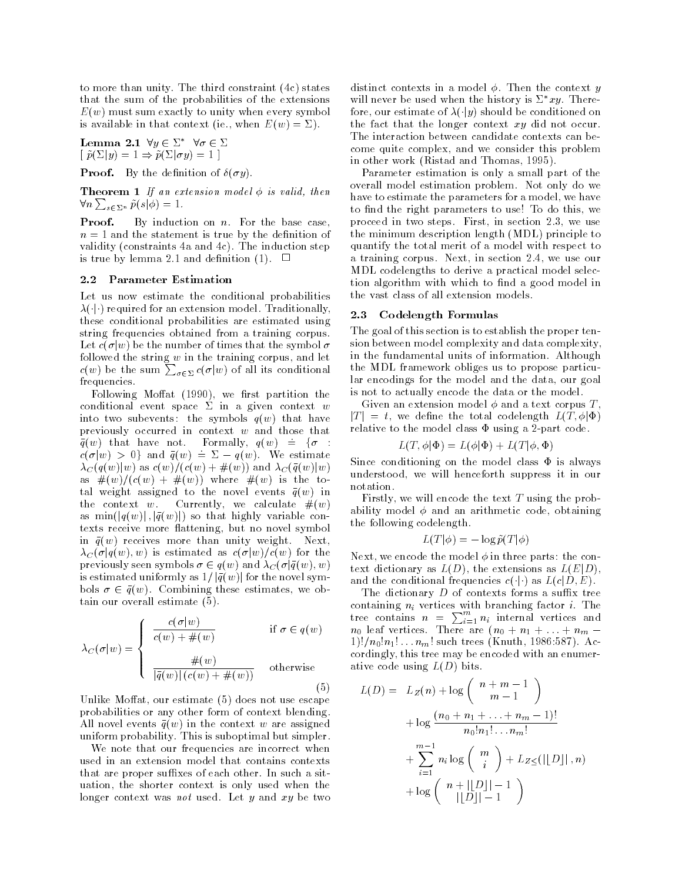to more than unity. The third constraint  $(4c)$  states that the sum of the probabilities of the extensions  $E(w)$  must sum exactly to unity when every symbol is available in that context (ie., when  $E(w) = \Sigma$ ).

**Lemma 2.1** 
$$
\forall y \in \Sigma^* \ \forall \sigma \in \Sigma
$$
  
[  $\tilde{p}(\Sigma|y) = 1 \Rightarrow \tilde{p}(\Sigma|\sigma y) = 1$ ]

**Proof.** By the definition of  $\delta(\sigma y)$ .

**Theorem 1** If an extension model  $\phi$  is valid, then  $\forall n \sum_{s \in \Sigma^n} \tilde{p}(s|\phi) = 1.$ 

By induction on  $n$ . For the base case, Proof.  $n=1$  and the statement is true by the definition of validity (constraints 4a and 4c). The induction step is true by lemma 2.1 and definition (1).  $\Box$ 

### 2.2 **Parameter Estimation**

Let us now estimate the conditional probabilities  $\lambda(\cdot|\cdot)$  required for an extension model. Traditionally, these conditional probabilities are estimated using string frequencies obtained from a training corpus. Let  $c(\sigma|w)$  be the number of times that the symbol  $\sigma$ followed the string w in the training corpus, and let  $c(w)$  be the sum  $\sum_{\sigma \in \Sigma} c(\sigma|w)$  of all its conditional frequencies.

Following Moffat (1990), we first partition the conditional event space  $\Sigma$  in a given context w into two subevents: the symbols  $q(w)$  that have previously occurred in context  $w$  and those that  $\bar{q}(w)$  that have not. Formally,  $q(w) \doteq \{\sigma :$  $c(\sigma|w) > 0$  and  $\bar{q}(w) \doteq \Sigma - q(w)$ . We estimate  $\lambda_C(q(w)|w)$  as  $c(w)/(c(w)+\#(w))$  and  $\lambda_C(\bar{q}(w)|w)$ as  $\#(w)/(c(w) + \#(w))$  where  $\#(w)$  is the total weight assigned to the novel events  $\bar{q}(w)$  in the context w. Currently, we calculate  $#(w)$ as  $\min(|q(w)|, |\bar{q}(w)|)$  so that highly variable contexts receive more flattening, but no novel symbol in  $\bar{q}(w)$  receives more than unity weight. Next,  $\lambda_C(\sigma|q(w), w)$  is estimated as  $c(\sigma|w)/c(w)$  for the previously seen symbols  $\sigma \in q(w)$  and  $\lambda_C(\sigma | \bar{q}(w), w)$ is estimated uniformly as  $1/|\bar{q}(w)|$  for the novel symbols  $\sigma \in \bar{q}(w)$ . Combining these estimates, we obtain our overall estimate (5).

$$
\lambda_C(\sigma|w) = \begin{cases}\n\frac{c(\sigma|w)}{c(w) + \#(w)} & \text{if } \sigma \in q(w) \\
\frac{\#(w)}{|\overline{q}(w)| (c(w) + \#(w))} & \text{otherwise}\n\end{cases}
$$
\n(5)

Unlike Moffat, our estimate (5) does not use escape probabilities or any other form of context blending. All novel events  $\bar{q}(w)$  in the context w are assigned uniform probability. This is suboptimal but simpler.

We note that our frequencies are incorrect when used in an extension model that contains contexts that are proper suffixes of each other. In such a situation, the shorter context is only used when the longer context was *not* used. Let y and xy be two distinct contexts in a model  $\phi$ . Then the context y will never be used when the history is  $\Sigma^* xy$ . Therefore, our estimate of  $\lambda(\cdot|y)$  should be conditioned on the fact that the longer context  $xy$  did not occur. The interaction between candidate contexts can become quite complex, and we consider this problem in other work (Ristad and Thomas, 1995).

Parameter estimation is only a small part of the overall model estimation problem. Not only do we have to estimate the parameters for a model, we have to find the right parameters to use! To do this, we proceed in two steps. First, in section 2.3, we use the minimum description length (MDL) principle to quantify the total merit of a model with respect to a training corpus. Next, in section 2.4, we use our MDL codelengths to derive a practical model selection algorithm with which to find a good model in the vast class of all extension models.

### Codelength Formulas  $2.3$

The goal of this section is to establish the proper tension between model complexity and data complexity, in the fundamental units of information. Although the MDL framework obliges us to propose particular encodings for the model and the data, our goal is not to actually encode the data or the model.

Given an extension model  $\phi$  and a text corpus T,  $|T| = t$ , we define the total codelength  $L(T, \phi | \Phi)$ relative to the model class  $\Phi$  using a 2-part code.

$$
L(T, \phi | \Phi) = L(\phi | \Phi) + L(T | \phi, \Phi)
$$

Since conditioning on the model class  $\Phi$  is always understood, we will henceforth suppress it in our notation.

Firstly, we will encode the text  $T$  using the probability model  $\phi$  and an arithmetic code, obtaining the following codelength.

$$
L(T|\phi) = -\log \tilde{p}(T|\phi)
$$

Next, we encode the model  $\phi$  in three parts: the context dictionary as  $L(D)$ , the extensions as  $L(E|D)$ , and the conditional frequencies  $c(\cdot|\cdot)$  as  $L(c|D, E)$ .

The dictionary  $D$  of contexts forms a suffix tree containing  $n_i$  vertices with branching factor *i*. The<br>tree contains  $n = \sum_{i=1}^{m} n_i$  internal vertices and  $n_0$  leaf vertices. There are  $(n_0 + n_1 + \ldots + n_m 1)!/n_0!n_1!...n_m!$  such trees (Knuth, 1986:587). Accordingly, this tree may be encoded with an enumerative code using  $L(D)$  bits.

$$
L(D) = L_Z(n) + \log \left( \frac{n+m-1}{m-1} \right)
$$
  
+ 
$$
\log \frac{(n_0 + n_1 + ... + n_m - 1)!}{n_0! n_1! ... n_m!}
$$
  
+ 
$$
\sum_{i=1}^{m-1} n_i \log \left( \frac{m}{i} \right) + L_{Z \leq} (||D||, n)
$$
  
+ 
$$
\log \left( \frac{n + ||D|| - 1}{||D|| - 1} \right)
$$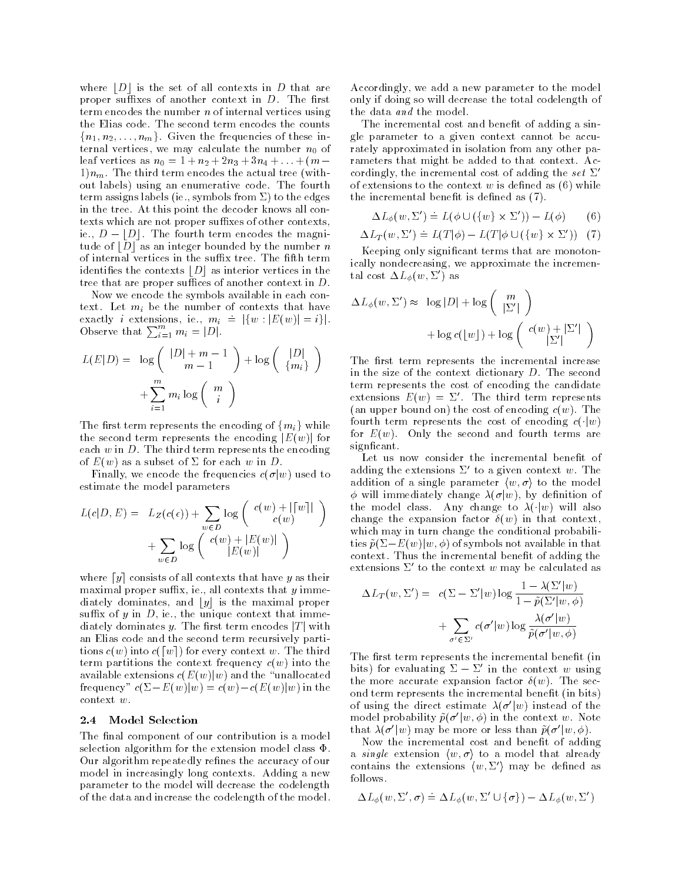where  $|D|$  is the set of all contexts in D that are proper suffixes of another context in  $D$ . The first term encodes the number  $n$  of internal vertices using the Elias code. The second term encodes the counts  ${n_1, n_2, \ldots, n_m}$ . Given the frequencies of these internal vertices, we may calculate the number  $n_0$  of leaf vertices as  $n_0 = 1 + n_2 + 2n_3 + 3n_4 + ... + (m 1\,n_m$ . The third term encodes the actual tree (without labels) using an enumerative code. The fourth term assigns labels (ie., symbols from  $\Sigma$ ) to the edges in the tree. At this point the decoder knows all contexts which are not proper suffixes of other contexts, ie.,  $D - |D|$ . The fourth term encodes the magnitude of  $|D|$  as an integer bounded by the number n of internal vertices in the suffix tree. The fifth term identifies the contexts  $|D|$  as interior vertices in the tree that are proper suffices of another context in  $D$ .

Now we encode the symbols available in each context. Let  $m_i$  be the number of contexts that have exactly *i* extensions, ie.,  $m_i \doteq |\{w : |E(w)| = i\}|.$ Observe that  $\sum_{i=1}^m m_i = |D|$ .

$$
L(E|D) = \log \left( \frac{|D| + m - 1}{m - 1} \right) + \log \left( \frac{|D|}{\{m_i\}} \right)
$$

$$
+ \sum_{i=1}^{m} m_i \log \left( \frac{m}{i} \right)
$$

The first term represents the encoding of  $\{m_i\}$  while the second term represents the encoding  $|E(w)|$  for each  $w$  in  $D$ . The third term represents the encoding of  $E(w)$  as a subset of  $\Sigma$  for each w in D.

Finally, we encode the frequencies  $c(\sigma|w)$  used to estimate the model parameters

$$
L(c|D, E) = L_Z(c(\epsilon)) + \sum_{w \in D} \log \left( \frac{c(w) + ||w||}{c(w)} \right) + \sum_{w \in D} \log \left( \frac{c(w) + |E(w)|}{|E(w)|} \right)
$$

where  $[y]$  consists of all contexts that have y as their maximal proper suffix, ie., all contexts that  $y$  immediately dominates, and  $|y|$  is the maximal proper suffix of  $y$  in  $D$ , ie., the unique context that immediately dominates y. The first term encodes  $|T|$  with an Elias code and the second term recursively partitions  $c(w)$  into  $c([w])$  for every context w. The third term partitions the context frequency  $c(w)$  into the available extensions  $c(E(w)|w)$  and the "unallocated" frequency"  $c(\Sigma - E(w)|w) = c(w) - c(E(w)|w)$  in the context  $w$ .

### 2.4 Model Selection

The final component of our contribution is a model selection algorithm for the extension model class  $\Phi$ . Our algorithm repeatedly refines the accuracy of our model in increasingly long contexts. Adding a new parameter to the model will decrease the codelength of the data and increase the codelength of the model.

Accordingly, we add a new parameter to the model only if doing so will decrease the total codelength of the data *and* the model.

The incremental cost and benefit of adding a single parameter to a given context cannot be accurately approximated in isolation from any other parameters that might be added to that context. Accordingly, the incremental cost of adding the set  $\Sigma'$ of extensions to the context  $w$  is defined as  $(6)$  while the incremental benefit is defined as (7).

$$
\Delta L_{\phi}(w, \Sigma') \doteq L(\phi \cup (\{w\} \times \Sigma')) - L(\phi) \qquad (6)
$$

$$
\Delta L_T(w, \Sigma') \doteq L(T|\phi) - L(T|\phi \cup (\{w\} \times \Sigma')) \quad (7)
$$

Keeping only significant terms that are monotonically nondecreasing, we approximate the incremental cost  $\Delta L_{\phi}(w, \Sigma')$  as

$$
\Delta L_{\phi}(w, \Sigma') \approx \log |D| + \log \left( \frac{m}{|\Sigma'|} \right)
$$

$$
+ \log c(\lfloor w \rfloor) + \log \left( \frac{c(w) + |\Sigma'|}{|\Sigma'|} \right)
$$

The first term represents the incremental increase in the size of the context dictionary D. The second term represents the cost of encoding the candidate extensions  $E(w) = \Sigma'$ . The third term represents (an upper bound on) the cost of encoding  $c(w)$ . The fourth term represents the cost of encoding  $c(\cdot|w)$ for  $E(w)$ . Only the second and fourth terms are signficant.

Let us now consider the incremental benefit of adding the extensions  $\Sigma'$  to a given context w. The addition of a single parameter  $\langle w, \sigma \rangle$  to the model  $\phi$  will immediately change  $\lambda(\sigma|w)$ , by definition of the model class. Any change to  $\lambda(\cdot|w)$  will also change the expansion factor  $\delta(w)$  in that context, which may in turn change the conditional probabilities  $\tilde{p}(\Sigma - E(w)|w, \phi)$  of symbols not available in that context. Thus the incremental benefit of adding the extensions  $\Sigma'$  to the context w may be calculated as

$$
\Delta L_T(w, \Sigma') = c(\Sigma - \Sigma'|w) \log \frac{1 - \lambda(\Sigma'|w)}{1 - \tilde{p}(\Sigma'|w, \phi)}
$$

$$
+ \sum_{\sigma' \in \Sigma'} c(\sigma'|w) \log \frac{\lambda(\sigma'|w)}{\tilde{p}(\sigma'|w, \phi)}
$$

The first term represents the incremental benefit (in bits) for evaluating  $\Sigma - \Sigma'$  in the context w using the more accurate expansion factor  $\delta(w)$ . The second term represents the incremental benefit (in bits) of using the direct estimate  $\lambda(\sigma'|w)$  instead of the model probability  $\tilde{p}(\sigma'|w,\phi)$  in the context w. Note that  $\lambda(\sigma'|w)$  may be more or less than  $\tilde{p}(\sigma'|w,\phi)$ .

Now the incremental cost and benefit of adding a *single* extension  $\langle w, \sigma \rangle$  to a model that already contains the extensions  $\langle w, \Sigma' \rangle$  may be defined as follows.

$$
\Delta L_{\phi}(w, \Sigma', \sigma) \doteq \Delta L_{\phi}(w, \Sigma' \cup \{\sigma\}) - \Delta L_{\phi}(w, \Sigma')
$$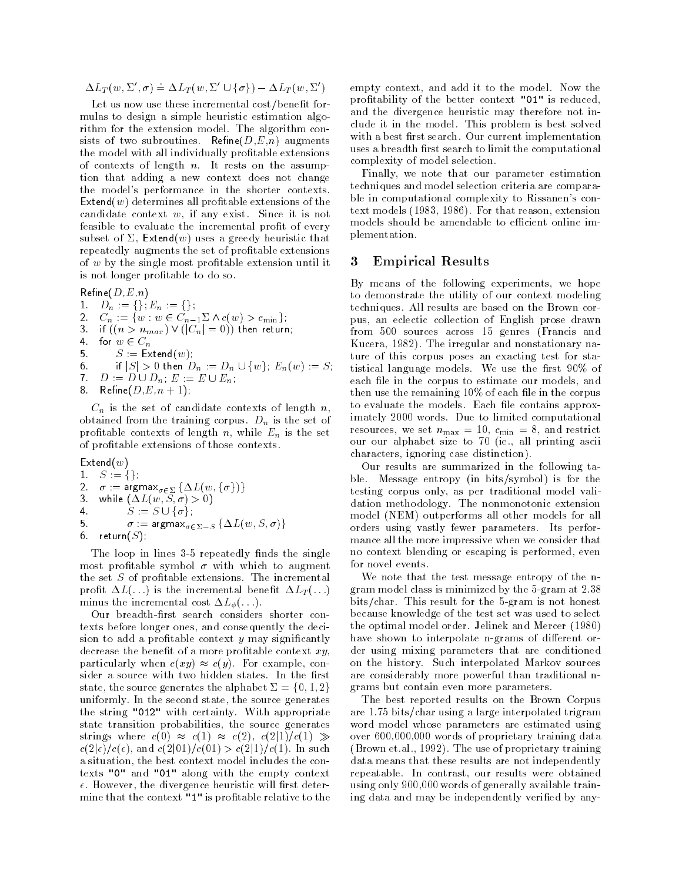$\Delta L_T(w, \Sigma', \sigma) \doteq \Delta L_T(w, \Sigma' \cup {\sigma}) - \Delta L_T(w, \Sigma')$ 

Let us now use these incremental cost/benefit formulas to design a simple heuristic estimation algorithm for the extension model. The algorithm consists of two subroutines. Refine $(D,E,n)$  augments the model with all individually profitable extensions of contexts of length  $n$ . It rests on the assumption that adding a new context does not change the model's performance in the shorter contexts.  $Extend(w)$  determines all profitable extensions of the candidate context  $w$ , if any exist. Since it is not feasible to evaluate the incremental profit of every subset of  $\Sigma$ , Extend(w) uses a greedy heuristic that repeatedly augments the set of profitable extensions of  $w$  by the single most profitable extension until it is not longer profitable to do so.

# $\mathsf{Refine}(D,E,n)$

1. 
$$
D_n := \{ \} ; E_n := \{ \} ;
$$

- $2.$
- $C_n := \{w : w \in C_{n-1}\Sigma \wedge c(w) > c_{\min}\};$ <br>if  $((n > n_{max}) \vee (|C_n| = 0))$  then return;  $3<sub>1</sub>$
- $\overline{4}$ for  $w \in C_n$
- 5.  $S :=$  Extend $(w)$ ;
- 6. if  $|S| > 0$  then  $D_n := D_n \cup \{w\}$ ,  $E_n(w) := S$ ;
- 7.  $D := D \cup D_n$ ,  $E := E \cup E_n$ ,
- Refine( $D, E, n + 1$ ); 8.

 $C_n$  is the set of candidate contexts of length n, obtained from the training corpus.  $D_n$  is the set of profitable contexts of length n, while  $E_n$  is the set of profitable extensions of those contexts.

 $Extend(w)$ 

1.  $S := \{\},\$ 2  $\sigma := \argmax_{\sigma \in \Sigma} {\{\Delta L(w, {\{\sigma}\})\}}$ 3. while  $(\Delta L(w, S, \sigma) > 0)$  $S := S \cup \{\sigma\},\$  $\overline{4}$ .  $\sigma := \argmax_{\sigma \in \Sigma - S} {\{\Delta L(w, S, \sigma)\}}$ 5. return $(S)$  : 6.

The loop in lines 3-5 repeatedly finds the single most profitable symbol  $\sigma$  with which to augment the set  $S$  of profitable extensions. The incremental profit  $\Delta L(\ldots)$  is the incremental benefit  $\Delta L_T(\ldots)$ minus the incremental cost  $\Delta L_{\phi}(\ldots)$ .

Our breadth-first search considers shorter contexts before longer ones, and consequently the decision to add a profitable context  $y$  may significantly decrease the benefit of a more profitable context  $xy$ , particularly when  $c(xy) \approx c(y)$ . For example, consider a source with two hidden states. In the first state, the source generates the alphabet  $\Sigma = \{0, 1, 2\}$ uniformly. In the second state, the source generates the string "012" with certainty. With appropriate state transition probabilities, the source generates strings where  $c(0) \approx c(1) \approx c(2), c(2|1)/c(1) \gg$  $c(2|\epsilon)/c(\epsilon)$ , and  $c(2|01)/c(01) > c(2|1)/c(1)$ . In such a situation, the best context model includes the contexts "0" and "01" along with the empty context  $\epsilon$ . However, the divergence heuristic will first determine that the context "1" is profitable relative to the empty context, and add it to the model. Now the profitability of the better context "01" is reduced. and the divergence heuristic may therefore not include it in the model. This problem is best solved with a best first search. Our current implementation uses a breadth first search to limit the computational complexity of model selection.

Finally, we note that our parameter estimation techniques and model selection criteria are comparable in computational complexity to Rissanen's context models (1983, 1986). For that reason, extension models should be amendable to efficient online implementation.

### 3 **Empirical Results**

By means of the following experiments, we hope to demonstrate the utility of our context modeling techniques. All results are based on the Brown corpus, an eclectic collection of English prose drawn from 500 sources across 15 genres (Francis and Kucera, 1982). The irregular and nonstationary nature of this corpus poses an exacting test for statistical language models. We use the first 90% of each file in the corpus to estimate our models, and then use the remaining 10% of each file in the corpus to evaluate the models. Each file contains approximately 2000 words. Due to limited computational resources, we set  $n_{\text{max}} = 10$ ,  $c_{\text{min}} = 8$ , and restrict our our alphabet size to 70 (ie., all printing ascii characters, ignoring case distinction).

Our results are summarized in the following table. Message entropy (in bits/symbol) is for the testing corpus only, as per traditional model validation methodology. The nonmonotonic extension model (NEM) outperforms all other models for all orders using vastly fewer parameters. Its performance all the more impressive when we consider that no context blending or escaping is performed, even for novel events.

We note that the test message entropy of the ngram model class is minimized by the 5-gram at 2.38 bits/char. This result for the 5-gram is not honest because knowledge of the test set was used to select the optimal model order. Jelinek and Mercer (1980) have shown to interpolate n-grams of different order using mixing parameters that are conditioned on the history. Such interpolated Markov sources are considerably more powerful than traditional ngrams but contain even more parameters.

The best reported results on the Brown Corpus are 1.75 bits/char using a large interpolated trigram word model whose parameters are estimated using over 600,000,000 words of proprietary training data (Brown et.al., 1992). The use of proprietary training data means that these results are not independently repeatable. In contrast, our results were obtained using only 900,000 words of generally available training data and may be independently verified by any-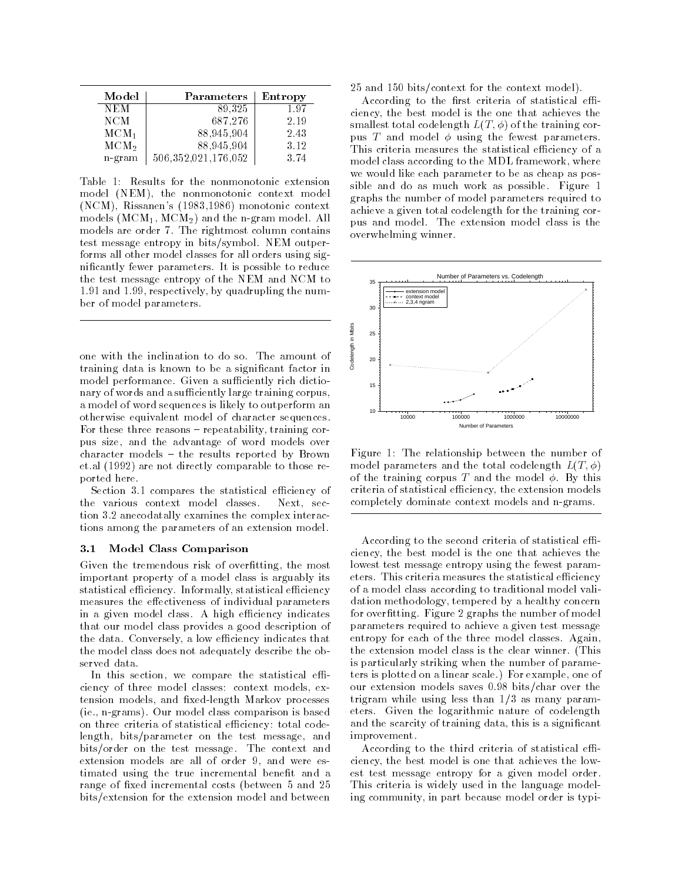| Model            | Parameters          | Entropy |
|------------------|---------------------|---------|
| NEM              | 89,325              | 1.97    |
| <b>NCM</b>       | 687,276             | 2.19    |
| MCM <sub>1</sub> | 88,945,904          | 2.43    |
| MCM <sub>2</sub> | 88,945,904          | 3.12    |
| n-gram           | 506,352,021,176,052 | 3.74    |

Table 1: Results for the nonmonotonic extension model (NEM), the nonmonotonic context model (NCM), Rissanen's (1983,1986) monotonic context models  $(MCM_1, MCM_2)$  and the n-gram model. All models are order 7. The rightmost column contains test message entropy in bits/symbol. NEM outperforms all other model classes for all orders using significantly fewer parameters. It is possible to reduce the test message entropy of the NEM and NCM to 1.91 and 1.99, respectively, by quadrupling the number of model parameters.

one with the inclination to do so. The amount of training data is known to be a significant factor in model performance. Given a sufficiently rich dictionary of words and a sufficiently large training corpus, a model of word sequences is likely to outperform an otherwise equivalent model of character sequences. For these three reasons – repeatability, training corpus size, and the advantage of word models over character models – the results reported by Brown et al (1992) are not directly comparable to those reported here.

Section 3.1 compares the statistical efficiency of the various context model classes. Next, section 3.2 anecodatally examines the complex interactions among the parameters of an extension model.

### Model Class Comparison  $3.1$

Given the tremendous risk of overfitting, the most important property of a model class is arguably its statistical efficiency. Informally, statistical efficiency measures the effectiveness of individual parameters in a given model class. A high efficiency indicates that our model class provides a good description of the data. Conversely, a low efficiency indicates that the model class does not adequately describe the observed data.

In this section, we compare the statistical efficiency of three model classes: context models, extension models, and fixed-length Markov processes (ie., n-grams). Our model class comparison is based on three criteria of statistical efficiency: total codelength, bits/parameter on the test message, and bits/order on the test message. The context and extension models are all of order 9, and were estimated using the true incremental benefit and a range of fixed incremental costs (between 5 and 25 bits/extension for the extension model and between

25 and 150 bits/context for the context model).

According to the first criteria of statistical efficiency, the best model is the one that achieves the smallest total codelength  $L(T, \phi)$  of the training corpus T and model  $\phi$  using the fewest parameters. This criteria measures the statistical efficiency of a model class according to the MDL framework, where we would like each parameter to be as cheap as possible and do as much work as possible. Figure 1 graphs the number of model parameters required to achieve a given total codelength for the training corpus and model. The extension model class is the overwhelming winner.



Figure 1: The relationship between the number of model parameters and the total codelength  $L(T, \phi)$ of the training corpus T and the model  $\phi$ . By this criteria of statistical efficiency, the extension models completely dominate context models and n-grams.

According to the second criteria of statistical efficiency, the best model is the one that achieves the lowest test message entropy using the fewest parameters. This criteria measures the statistical efficiency of a model class according to traditional model validation methodology, tempered by a healthy concern for overfitting. Figure 2 graphs the number of model parameters required to achieve a given test message entropy for each of the three model classes. Again, the extension model class is the clear winner. (This is particularly striking when the number of parameters is plotted on a linear scale.) For example, one of our extension models saves 0.98 bits/char over the trigram while using less than  $1/3$  as many parameters. Given the logarithmic nature of codelength and the scarcity of training data, this is a significant improvement.

According to the third criteria of statistical efficiency, the best model is one that achieves the lowest test message entropy for a given model order. This criteria is widely used in the language modeling community, in part because model order is typi-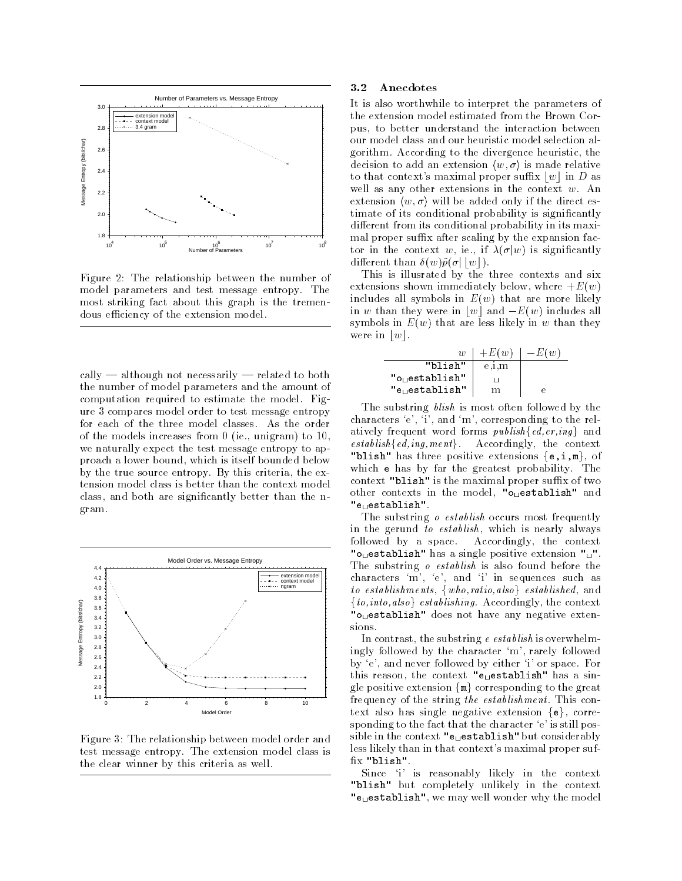

Figure 2: The relationship between the number of model parameters and test message entropy. The most striking fact about this graph is the tremendous efficiency of the extension model.

cally — although not necessarily — related to both the number of model parameters and the amount of computation required to estimate the model. Figure 3 compares model order to test message entropy for each of the three model classes. As the order of the models increases from  $0$  (ie., unigram) to  $10$ , we naturally expect the test message entropy to approach a lower bound, which is itself bounded below by the true source entropy. By this criteria, the extension model class is better than the context model class, and both are significantly better than the ngram.



Figure 3: The relationship between model order and test message entropy. The extension model class is the clear winner by this criteria as well.

### $3.2$ Anecdotes

It is also worthwhile to interpret the parameters of the extension model estimated from the Brown Corpus, to better understand the interaction between our model class and our heuristic model selection algorithm. According to the divergence heuristic, the decision to add an extension  $(w, \sigma)$  is made relative to that context's maximal proper suffix  $|w|$  in D as well as any other extensions in the context  $w$ . An extension  $\langle w, \sigma \rangle$  will be added only if the direct estimate of its conditional probability is significantly different from its conditional probability in its maximal proper suffix after scaling by the expansion factor in the context w, ie., if  $\lambda(\sigma|w)$  is significantly different than  $\delta(w)\tilde{p}(\sigma||w|)$ .

This is illustrated by the three contexts and six extensions shown immediately below, where  $+E(w)$ includes all symbols in  $E(w)$  that are more likely in w than they were in |w| and  $-E(w)$  includes all symbols in  $E(w)$  that are less likely in w than they were in  $|w|$ .

| $\overline{\mathcal{H}}$    | $+E(w)$ | $-E(w)$ |
|-----------------------------|---------|---------|
| "blish"                     | e,1,m   |         |
| "o <sub>u</sub> establish"  |         |         |
| "e <sub>ri</sub> establish" | m       |         |

The substring *blish* is most often followed by the characters  $\langle e^{\prime}, \dot{u}^{\prime} \rangle$ , and  $\langle m \dot{v} \rangle$ , corresponding to the relatively frequent word forms  $publish\{ed, er, inq\}$  and  $establish\{ed, inq, ment\}$ . Accordingly, the context "blish" has three positive extensions  $\{e, i, m\}$ , of which e has by far the greatest probability. The context "blish" is the maximal proper suffix of two other contexts in the model, "o<sub>u</sub>establish" and "enestablish".

The substring *o establish* occurs most frequently in the gerund to establish, which is nearly always followed by a space. Accordingly, the context " $o_{\text{U}}$ establish" has a single positive extension " $\text{U}$ ". The substring *o* establish is also found before the characters 'm', 'e', and 'i' in sequences such as to establishments, {who, ratio, also} established, and  $\{to, into, also\}$  establishing. Accordingly, the context "o<sub>ll</sub>establish" does not have any negative extensions.

In contrast, the substring  $e$  establish is overwhelmingly followed by the character 'm', rarely followed by 'e', and never followed by either 'i' or space. For this reason, the context "e<sub> $\sqcup$ </sub>establish" has a single positive extension  $\{m\}$  corresponding to the great frequency of the string the establishment. This context also has single negative extension  $\{e\}$ , corresponding to the fact that the character 'e' is still possible in the context " $e_{\text{H}}$  establish" but considerably less likely than in that context's maximal proper suffix "blish".

Since 'i' is reasonably likely in the context "blish" but completely unlikely in the context "euestablish", we may well wonder why the model